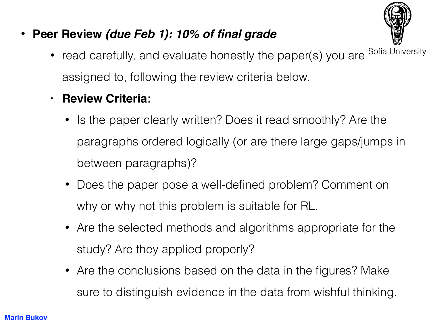

- **Peer Review** *(due Feb 1): 10% of final grade*
	- read carefully, and evaluate honestly the paper(s) you are assigned to, following the review criteria below. Sofia University
	- **• Review Criteria:**
		- Is the paper clearly written? Does it read smoothly? Are the paragraphs ordered logically (or are there large gaps/jumps in between paragraphs)?
		- Does the paper pose a well-defined problem? Comment on why or why not this problem is suitable for RL.
		- Are the selected methods and algorithms appropriate for the study? Are they applied properly?
		- Are the conclusions based on the data in the figures? Make sure to distinguish evidence in the data from wishful thinking.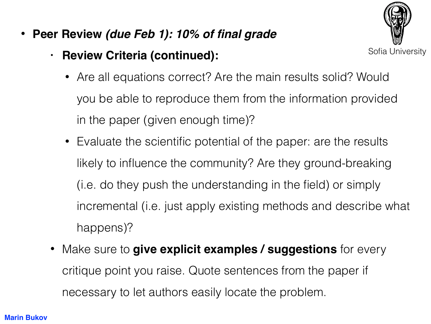• **Peer Review** *(due Feb 1): 10% of final grade*

## **• Review Criteria (continued):**



- Are all equations correct? Are the main results solid? Would you be able to reproduce them from the information provided in the paper (given enough time)?
- Evaluate the scientific potential of the paper: are the results likely to influence the community? Are they ground-breaking (i.e. do they push the understanding in the field) or simply incremental (i.e. just apply existing methods and describe what happens)?
- Make sure to **give explicit examples / suggestions** for every critique point you raise. Quote sentences from the paper if necessary to let authors easily locate the problem.

## **Marin Bukov**